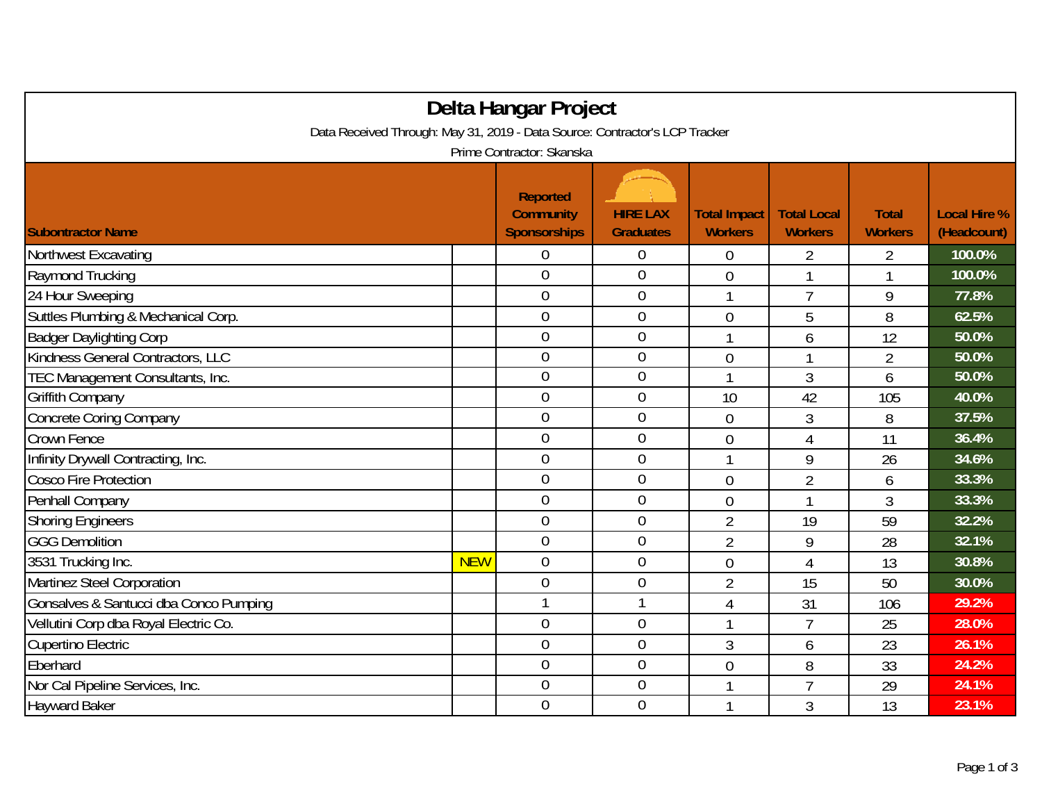| Delta Hangar Project                                                        |            |                                                            |                                     |                                       |                                      |                                |                                    |  |  |
|-----------------------------------------------------------------------------|------------|------------------------------------------------------------|-------------------------------------|---------------------------------------|--------------------------------------|--------------------------------|------------------------------------|--|--|
| Data Received Through: May 31, 2019 - Data Source: Contractor's LCP Tracker |            |                                                            |                                     |                                       |                                      |                                |                                    |  |  |
| Prime Contractor: Skanska                                                   |            |                                                            |                                     |                                       |                                      |                                |                                    |  |  |
| <b>Subontractor Name</b>                                                    |            | <b>Reported</b><br><b>Community</b><br><b>Sponsorships</b> | <b>HIRE LAX</b><br><b>Graduates</b> | <b>Total Impact</b><br><b>Workers</b> | <b>Total Local</b><br><b>Workers</b> | <b>Total</b><br><b>Workers</b> | <b>Local Hire %</b><br>(Headcount) |  |  |
| Northwest Excavating                                                        |            | 0                                                          | 0                                   | 0                                     | $\overline{2}$                       | $\overline{2}$                 | 100.0%                             |  |  |
| Raymond Trucking                                                            |            | $\overline{0}$                                             | $\mathbf 0$                         | $\overline{0}$                        | 1                                    | 1                              | 100.0%                             |  |  |
| 24 Hour Sweeping                                                            |            | $\mathbf 0$                                                | $\boldsymbol{0}$                    | 1                                     | $\overline{7}$                       | 9                              | 77.8%                              |  |  |
| Suttles Plumbing & Mechanical Corp.                                         |            | $\overline{0}$                                             | $\overline{0}$                      | 0                                     | 5                                    | 8                              | 62.5%                              |  |  |
| <b>Badger Daylighting Corp</b>                                              |            | $\overline{0}$                                             | $\mathbf{0}$                        | 1                                     | 6                                    | 12                             | 50.0%                              |  |  |
| Kindness General Contractors, LLC                                           |            | $\overline{0}$                                             | $\overline{0}$                      | 0                                     |                                      | $\overline{2}$                 | 50.0%                              |  |  |
| TEC Management Consultants, Inc.                                            |            | $\overline{0}$                                             | $\boldsymbol{0}$                    | 1                                     | 3                                    | 6                              | 50.0%                              |  |  |
| Griffith Company                                                            |            | $\mathbf 0$                                                | $\mathbf 0$                         | 10                                    | 42                                   | 105                            | 40.0%                              |  |  |
| <b>Concrete Coring Company</b>                                              |            | $\overline{0}$                                             | $\mathbf 0$                         | $\overline{0}$                        | 3                                    | 8                              | 37.5%                              |  |  |
| Crown Fence                                                                 |            | $\overline{0}$                                             | $\overline{0}$                      | 0                                     | 4                                    | 11                             | 36.4%                              |  |  |
| Infinity Drywall Contracting, Inc.                                          |            | $\overline{0}$                                             | $\mathbf 0$                         | 1                                     | 9                                    | 26                             | 34.6%                              |  |  |
| Cosco Fire Protection                                                       |            | 0                                                          | $\mathbf{0}$                        | $\overline{0}$                        | $\overline{2}$                       | 6                              | 33.3%                              |  |  |
| Penhall Company                                                             |            | $\overline{0}$                                             | $\overline{0}$                      | 0                                     | 1                                    | 3                              | 33.3%                              |  |  |
| <b>Shoring Engineers</b>                                                    |            | $\overline{0}$                                             | $\mathbf 0$                         | $\overline{2}$                        | 19                                   | 59                             | 32.2%                              |  |  |
| <b>GGG Demolition</b>                                                       |            | $\overline{0}$                                             | $\mathbf 0$                         | $\overline{2}$                        | 9                                    | 28                             | 32.1%                              |  |  |
| 3531 Trucking Inc.                                                          | <b>NEW</b> | $\overline{0}$                                             | $\boldsymbol{0}$                    | 0                                     | $\overline{4}$                       | 13                             | 30.8%                              |  |  |
| Martinez Steel Corporation                                                  |            | $\mathbf 0$                                                | $\mathbf{0}$                        | $\overline{2}$                        | 15                                   | 50                             | 30.0%                              |  |  |
| Gonsalves & Santucci dba Conco Pumping                                      |            |                                                            | $\mathbf{1}$                        | 4                                     | 31                                   | 106                            | 29.2%                              |  |  |
| Vellutini Corp dba Royal Electric Co.                                       |            | $\overline{0}$                                             | $\overline{0}$                      | 1                                     | $\overline{7}$                       | 25                             | 28.0%                              |  |  |
| Cupertino Electric                                                          |            | $\overline{0}$                                             | $\mathbf 0$                         | 3                                     | 6                                    | 23                             | 26.1%                              |  |  |
| Eberhard                                                                    |            | $\mathbf 0$                                                | $\mathbf 0$                         | 0                                     | 8                                    | 33                             | 24.2%                              |  |  |
| Nor Cal Pipeline Services, Inc.                                             |            | $\overline{0}$                                             | $\mathbf 0$                         | 1                                     | $\overline{7}$                       | 29                             | 24.1%                              |  |  |
| <b>Hayward Baker</b>                                                        |            | $\overline{0}$                                             | $\overline{0}$                      | 1                                     | 3                                    | 13                             | 23.1%                              |  |  |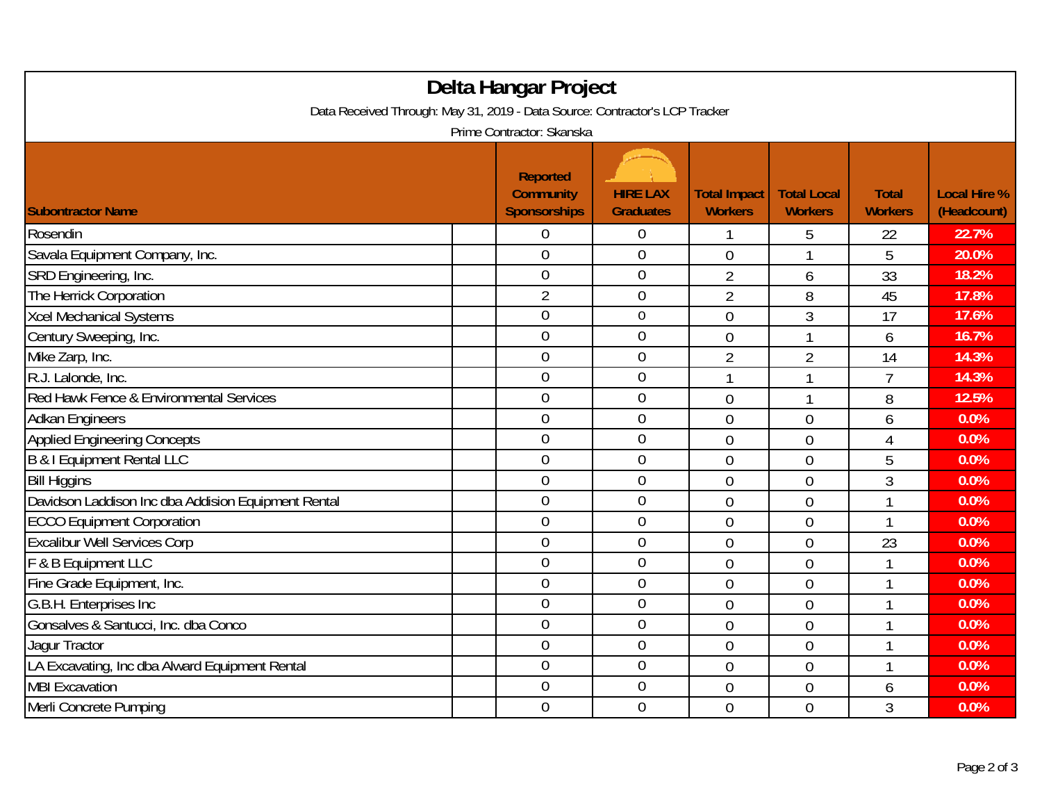| Delta Hangar Project<br>Data Received Through: May 31, 2019 - Data Source: Contractor's LCP Tracker<br>Prime Contractor: Skanska |                |                  |                |                |                |       |  |  |
|----------------------------------------------------------------------------------------------------------------------------------|----------------|------------------|----------------|----------------|----------------|-------|--|--|
|                                                                                                                                  |                |                  |                |                |                |       |  |  |
| Rosendin                                                                                                                         | $\overline{0}$ | $\overline{0}$   |                | 5              | 22             | 22.7% |  |  |
| Savala Equipment Company, Inc.                                                                                                   | $\overline{0}$ | $\overline{0}$   | $\overline{0}$ | 1              | 5              | 20.0% |  |  |
| SRD Engineering, Inc.                                                                                                            | $\overline{0}$ | $\overline{0}$   | $\overline{2}$ | 6              | 33             | 18.2% |  |  |
| The Herrick Corporation                                                                                                          | $\overline{2}$ | $\boldsymbol{0}$ | $\overline{2}$ | 8              | 45             | 17.8% |  |  |
| <b>Xcel Mechanical Systems</b>                                                                                                   | $\overline{0}$ | $\mathbf 0$      | $\overline{0}$ | 3              | 17             | 17.6% |  |  |
| Century Sweeping, Inc.                                                                                                           | $\overline{0}$ | $\overline{0}$   | $\overline{0}$ | 1              | 6              | 16.7% |  |  |
| Mike Zarp, Inc.                                                                                                                  | $\overline{0}$ | $\mathbf 0$      | $\overline{2}$ | $\overline{2}$ | 14             | 14.3% |  |  |
| R.J. Lalonde, Inc.                                                                                                               | $\overline{0}$ | $\overline{0}$   | $\overline{1}$ | 1              | $\overline{7}$ | 14.3% |  |  |
| Red Hawk Fence & Environmental Services                                                                                          | $\overline{0}$ | $\boldsymbol{0}$ | $\mathbf 0$    | $\mathbf{1}$   | 8              | 12.5% |  |  |
| <b>Adkan Engineers</b>                                                                                                           | $\overline{0}$ | $\boldsymbol{0}$ | $\overline{0}$ | $\overline{0}$ | 6              | 0.0%  |  |  |
| <b>Applied Engineering Concepts</b>                                                                                              | $\overline{0}$ | $\overline{0}$   | $\overline{0}$ | $\overline{0}$ | 4              | 0.0%  |  |  |
| <b>B &amp; I Equipment Rental LLC</b>                                                                                            | $\overline{0}$ | $\boldsymbol{0}$ | $\overline{0}$ | $\overline{0}$ | 5              | 0.0%  |  |  |
| <b>Bill Higgins</b>                                                                                                              | $\overline{0}$ | $\mathbf 0$      | $\theta$       | $\overline{0}$ | 3              | 0.0%  |  |  |
| Davidson Laddison Inc dba Addision Equipment Rental                                                                              | $\overline{0}$ | $\mathbf 0$      | $\overline{0}$ | $\overline{0}$ |                | 0.0%  |  |  |
| <b>ECCO Equipment Corporation</b>                                                                                                | $\overline{0}$ | $\boldsymbol{0}$ | $\overline{0}$ | $\mathbf 0$    | 1              | 0.0%  |  |  |
| <b>Excalibur Well Services Corp</b>                                                                                              | $\mathbf 0$    | $\mathbf 0$      | $\mathbf{0}$   | $\mathbf 0$    | 23             | 0.0%  |  |  |
| F & B Equipment LLC                                                                                                              | $\overline{0}$ | $\mathbf 0$      | $\overline{0}$ | $\overline{0}$ | 1              | 0.0%  |  |  |
| Fine Grade Equipment, Inc.                                                                                                       | $\mathbf 0$    | $\mathbf 0$      | $\overline{0}$ | $\overline{0}$ | 1              | 0.0%  |  |  |
| G.B.H. Enterprises Inc                                                                                                           | $\mathbf 0$    | 0                | $\overline{0}$ | $\overline{0}$ | 1              | 0.0%  |  |  |
| Gonsalves & Santucci, Inc. dba Conco                                                                                             | $\overline{0}$ | $\overline{0}$   | $\overline{0}$ | $\overline{0}$ | 1              | 0.0%  |  |  |
| Jaqur Tractor                                                                                                                    | 0              | $\boldsymbol{0}$ | $\overline{0}$ | $\overline{0}$ | 1              | 0.0%  |  |  |
| LA Excavating, Inc dba Alward Equipment Rental                                                                                   | $\overline{0}$ | $\overline{0}$   | $\overline{0}$ | $\overline{0}$ | 1              | 0.0%  |  |  |
| <b>MBI Excavation</b>                                                                                                            | $\mathbf 0$    | $\boldsymbol{0}$ | $\overline{0}$ | $\overline{0}$ | 6              | 0.0%  |  |  |
| Merli Concrete Pumping                                                                                                           | 0              | $\overline{0}$   | $\overline{0}$ | $\overline{0}$ | 3              | 0.0%  |  |  |